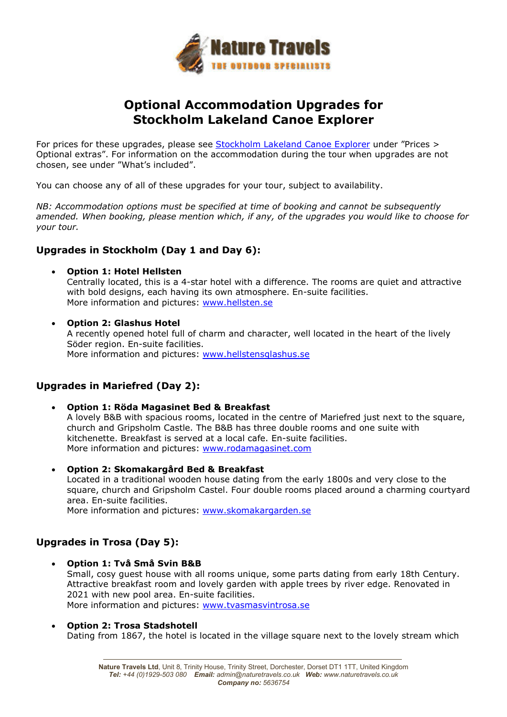

## **Optional Accommodation Upgrades for Stockholm Lakeland Canoe Explorer**

For prices for these upgrades, please see Stockholm Lakeland Canoe Explorer under "Prices > Optional extras". For information on the accommodation during the tour when upgrades are not chosen, see under "What's included".

You can choose any of all of these upgrades for your tour, subject to availability.

*NB: Accommodation options must be specified at time of booking and cannot be subsequently amended. When booking, please mention which, if any, of the upgrades you would like to choose for your tour.* 

## **Upgrades in Stockholm (Day 1 and Day 6):**

**Option 1: Hotel Hellsten**

Centrally located, this is a 4-star hotel with a difference. The rooms are quiet and attractive with bold designs, each having its own atmosphere. En-suite facilities. More information and pictures: www.hellsten.se

 **Option 2: Glashus Hotel**  A recently opened hotel full of charm and character, well located in the heart of the lively Söder region. En-suite facilities. More information and pictures: www.hellstensglashus.se

## **Upgrades in Mariefred (Day 2):**

- **Option 1: Röda Magasinet Bed & Breakfast**  A lovely B&B with spacious rooms, located in the centre of Mariefred just next to the square, church and Gripsholm Castle. The B&B has three double rooms and one suite with kitchenette. Breakfast is served at a local cafe. En-suite facilities. More information and pictures: www.rodamagasinet.com
- **Option 2: Skomakargård Bed & Breakfast** Located in a traditional wooden house dating from the early 1800s and very close to the square, church and Gripsholm Castel. Four double rooms placed around a charming courtyard area. En-suite facilities. More information and pictures: www.skomakargarden.se

## **Upgrades in Trosa (Day 5):**

- **Option 1: Två Små Svin B&B** Small, cosy guest house with all rooms unique, some parts dating from early 18th Century. Attractive breakfast room and lovely garden with apple trees by river edge. Renovated in 2021 with new pool area. En-suite facilities. More information and pictures: www.tvasmasvintrosa.se
- **Option 2: Trosa Stadshotell**  Dating from 1867, the hotel is located in the village square next to the lovely stream which